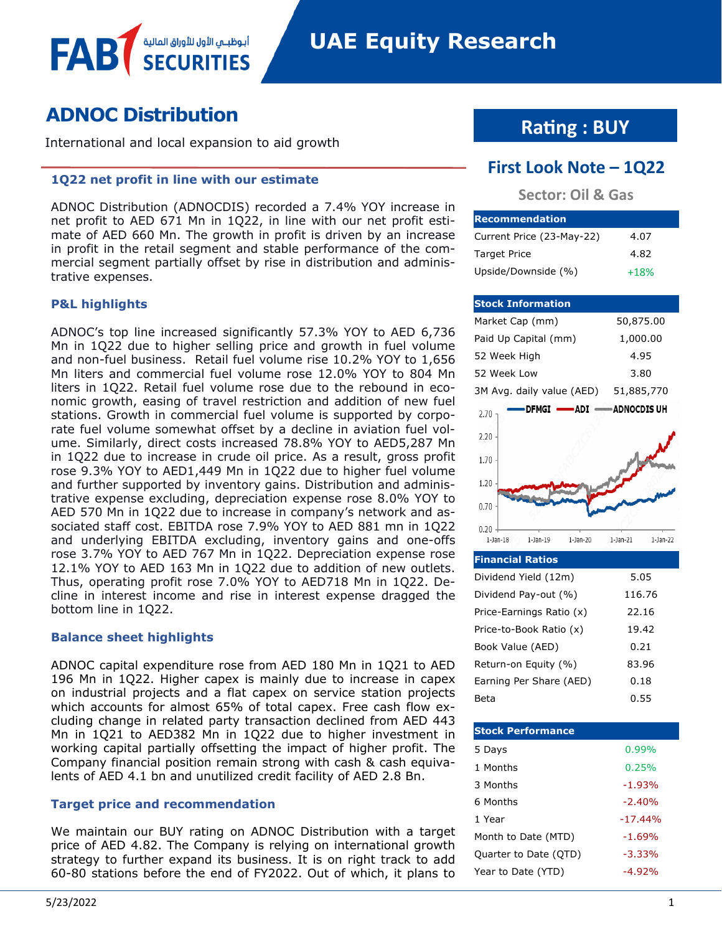# **ADNOC Distribution**

International and local expansion to aid growth

أبوظبــي الأول للأوراق المال

#### **1Q22 net profit in line with our estimate**

ADNOC Distribution (ADNOCDIS) recorded a 7.4% YOY increase in net profit to AED 671 Mn in 1Q22, in line with our net profit estimate of AED 660 Mn. The growth in profit is driven by an increase in profit in the retail segment and stable performance of the commercial segment partially offset by rise in distribution and administrative expenses.

#### **P&L highlights**

FAB

ADNOC's top line increased significantly 57.3% YOY to AED 6,736 Mn in 1Q22 due to higher selling price and growth in fuel volume and non-fuel business. Retail fuel volume rise 10.2% YOY to 1,656 Mn liters and commercial fuel volume rose 12.0% YOY to 804 Mn liters in 1Q22. Retail fuel volume rose due to the rebound in economic growth, easing of travel restriction and addition of new fuel stations. Growth in commercial fuel volume is supported by corporate fuel volume somewhat offset by a decline in aviation fuel volume. Similarly, direct costs increased 78.8% YOY to AED5,287 Mn in 1Q22 due to increase in crude oil price. As a result, gross profit rose 9.3% YOY to AED1,449 Mn in 1Q22 due to higher fuel volume and further supported by inventory gains. Distribution and administrative expense excluding, depreciation expense rose 8.0% YOY to AED 570 Mn in 1Q22 due to increase in company's network and associated staff cost. EBITDA rose 7.9% YOY to AED 881 mn in 1Q22 and underlying EBITDA excluding, inventory gains and one-offs rose 3.7% YOY to AED 767 Mn in 1Q22. Depreciation expense rose 12.1% YOY to AED 163 Mn in 1Q22 due to addition of new outlets. Thus, operating profit rose 7.0% YOY to AED718 Mn in 1Q22. Decline in interest income and rise in interest expense dragged the bottom line in 1Q22.

#### **Balance sheet highlights**

ADNOC capital expenditure rose from AED 180 Mn in 1Q21 to AED 196 Mn in 1Q22. Higher capex is mainly due to increase in capex on industrial projects and a flat capex on service station projects which accounts for almost 65% of total capex. Free cash flow excluding change in related party transaction declined from AED 443 Mn in 1Q21 to AED382 Mn in 1Q22 due to higher investment in working capital partially offsetting the impact of higher profit. The Company financial position remain strong with cash & cash equivalents of AED 4.1 bn and unutilized credit facility of AED 2.8 Bn.

### **Target price and recommendation**

We maintain our BUY rating on ADNOC Distribution with a target price of AED 4.82. The Company is relying on international growth strategy to further expand its business. It is on right track to add 60-80 stations before the end of FY2022. Out of which, it plans to

# **Rating : BUY**

# **First Look Note – 1Q22**

# **Sector: Oil & Gas**

| <b>Recommendation</b>     |        |
|---------------------------|--------|
| Current Price (23-May-22) | 4.07   |
| <b>Target Price</b>       | 4.82   |
| Upside/Downside (%)       | $+18%$ |

#### **Stock Information** Market Cap (mm) 50,875.00 Paid Up Capital (mm) 1,000.00 52 Week High 4.95 52 Week Low 3.80 3M Avg. daily value (AED) 51,885,770 **ADNOCDIS UH DFMGI -ADI** 2.70 2.20 1.70 1.20 0.70  $0.20$  $1$ -Jan- $18$  $1-Jan-19$  $1-Jan-20$  $1-Jan-21$  $1$ -Jan-22

### **Financial Ratios**

| Dividend Yield (12m)     | 5.05   |
|--------------------------|--------|
| Dividend Pay-out (%)     | 116.76 |
| Price-Earnings Ratio (x) | 22.16  |
| Price-to-Book Ratio (x)  | 19.42  |
| Book Value (AED)         | 0.21   |
| Return-on Equity (%)     | 83.96  |
| Earning Per Share (AED)  | 0.18   |
| Beta                     | 0.55   |

| <b>Stock Performance</b> |           |
|--------------------------|-----------|
| 5 Days                   | 0.99%     |
| 1 Months                 | 0.25%     |
| 3 Months                 | $-1.93%$  |
| 6 Months                 | $-2.40%$  |
| 1 Year                   | $-17.44%$ |
| Month to Date (MTD)      | $-1.69%$  |
| Quarter to Date (QTD)    | $-3.33%$  |
| Year to Date (YTD)       | $-4.92%$  |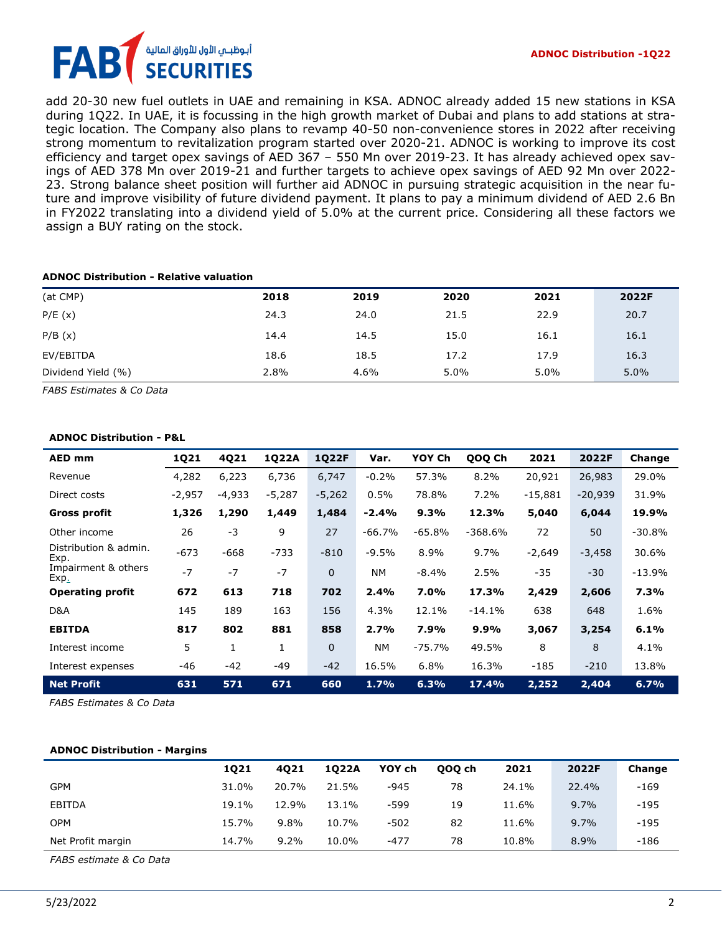add 20-30 new fuel outlets in UAE and remaining in KSA. ADNOC already added 15 new stations in KSA during 1Q22. In UAE, it is focussing in the high growth market of Dubai and plans to add stations at strategic location. The Company also plans to revamp 40-50 non-convenience stores in 2022 after receiving strong momentum to revitalization program started over 2020-21. ADNOC is working to improve its cost efficiency and target opex savings of AED 367 – 550 Mn over 2019-23. It has already achieved opex savings of AED 378 Mn over 2019-21 and further targets to achieve opex savings of AED 92 Mn over 2022- 23. Strong balance sheet position will further aid ADNOC in pursuing strategic acquisition in the near future and improve visibility of future dividend payment. It plans to pay a minimum dividend of AED 2.6 Bn in FY2022 translating into a dividend yield of 5.0% at the current price. Considering all these factors we assign a BUY rating on the stock.

#### **ADNOC Distribution - Relative valuation**

| (at CMP)           | 2018 | 2019 | 2020 | 2021 | 2022F |
|--------------------|------|------|------|------|-------|
| P/E(x)             | 24.3 | 24.0 | 21.5 | 22.9 | 20.7  |
| P/B(x)             | 14.4 | 14.5 | 15.0 | 16.1 | 16.1  |
| EV/EBITDA          | 18.6 | 18.5 | 17.2 | 17.9 | 16.3  |
| Dividend Yield (%) | 2.8% | 4.6% | 5.0% | 5.0% | 5.0%  |

*FABS Estimates & Co Data*

#### **ADNOC Distribution - P&L**

| AED mm                         | 1Q21     | 4Q21     | 1Q22A    | 1Q22F    | Var.      | YOY Ch   | QOQ Ch    | 2021      | 2022F     | Change   |
|--------------------------------|----------|----------|----------|----------|-----------|----------|-----------|-----------|-----------|----------|
| Revenue                        | 4,282    | 6,223    | 6,736    | 6,747    | $-0.2%$   | 57.3%    | 8.2%      | 20,921    | 26,983    | 29.0%    |
| Direct costs                   | $-2,957$ | $-4,933$ | $-5,287$ | $-5,262$ | 0.5%      | 78.8%    | 7.2%      | $-15,881$ | $-20,939$ | 31.9%    |
| Gross profit                   | 1,326    | 1,290    | 1,449    | 1,484    | $-2.4%$   | 9.3%     | 12.3%     | 5,040     | 6,044     | 19.9%    |
| Other income                   | 26       | $-3$     | 9        | 27       | $-66.7%$  | $-65.8%$ | $-368.6%$ | 72        | 50        | $-30.8%$ |
| Distribution & admin.<br>Exp.  | $-673$   | $-668$   | $-733$   | $-810$   | $-9.5%$   | 8.9%     | 9.7%      | $-2,649$  | $-3,458$  | 30.6%    |
| Impairment & others<br>$Exp_1$ | $-7$     | $-7$     | $-7$     | $\Omega$ | <b>NM</b> | $-8.4%$  | 2.5%      | $-35$     | $-30$     | $-13.9%$ |
| <b>Operating profit</b>        | 672      | 613      | 718      | 702      | 2.4%      | 7.0%     | 17.3%     | 2,429     | 2,606     | 7.3%     |
| D&A                            | 145      | 189      | 163      | 156      | 4.3%      | 12.1%    | $-14.1%$  | 638       | 648       | 1.6%     |
| <b>EBITDA</b>                  | 817      | 802      | 881      | 858      | 2.7%      | 7.9%     | 9.9%      | 3,067     | 3,254     | 6.1%     |
| Interest income                | 5        | 1        | 1        | $\Omega$ | <b>NM</b> | $-75.7%$ | 49.5%     | 8         | 8         | 4.1%     |
| Interest expenses              | $-46$    | $-42$    | $-49$    | $-42$    | 16.5%     | 6.8%     | 16.3%     | $-185$    | $-210$    | 13.8%    |
| <b>Net Profit</b>              | 631      | 571      | 671      | 660      | 1.7%      | 6.3%     | 17.4%     | 2,252     | 2,404     | 6.7%     |

*FABS Estimates & Co Data* 

#### **ADNOC Distribution - Margins**

|                   | 1021  | 4021  | 1022A | YOY ch | 000 ch | 2021  | 2022F | Change |
|-------------------|-------|-------|-------|--------|--------|-------|-------|--------|
| <b>GPM</b>        | 31.0% | 20.7% | 21.5% | $-945$ | 78     | 24.1% | 22.4% | $-169$ |
| <b>EBITDA</b>     | 19.1% | 12.9% | 13.1% | -599   | 19     | 11.6% | 9.7%  | $-195$ |
| <b>OPM</b>        | 15.7% | 9.8%  | 10.7% | $-502$ | 82     | 11.6% | 9.7%  | $-195$ |
| Net Profit margin | 14.7% | 9.2%  | 10.0% | $-477$ | 78     | 10.8% | 8.9%  | $-186$ |

*FABS estimate & Co Data*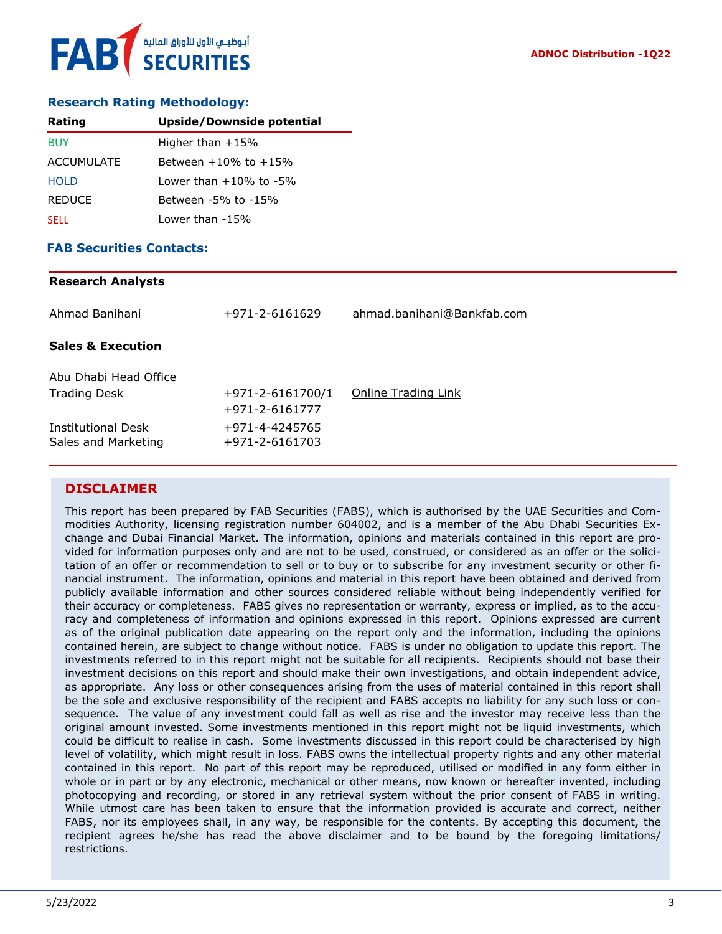

### **Research Rating Methodology:**

| Rating            | <b>Upside/Downside potential</b> |
|-------------------|----------------------------------|
| <b>BUY</b>        | Higher than $+15%$               |
| <b>ACCUMULATE</b> | Between $+10\%$ to $+15\%$       |
| <b>HOLD</b>       | Lower than $+10\%$ to $-5\%$     |
| <b>REDUCE</b>     | Between -5% to -15%              |
| <b>SELL</b>       | Lower than -15%                  |

#### **FAB Securities Contacts:**

# **Research Analysts** Ahmad Banihani +971-2-6161629 [ahmad.banihani@Bankfab.com](mailto:ahmad.banihani@Bankfab.com) **Sales & Execution** Abu Dhabi Head Office Trading Desk  $+971-2-6161700/1$  [Online Trading Link](http://www.nbad.com/countries/en-ae/Brokerage/WhatWeOffer/Pages/OnlineTrading.aspx) +971-2-6161777 Institutional Desk +971-4-4245765 Sales and Marketing +971-2-6161703

## **DISCLAIMER**

This report has been prepared by FAB Securities (FABS), which is authorised by the UAE Securities and Commodities Authority, licensing registration number 604002, and is a member of the Abu Dhabi Securities Exchange and Dubai Financial Market. The information, opinions and materials contained in this report are provided for information purposes only and are not to be used, construed, or considered as an offer or the solicitation of an offer or recommendation to sell or to buy or to subscribe for any investment security or other financial instrument. The information, opinions and material in this report have been obtained and derived from publicly available information and other sources considered reliable without being independently verified for their accuracy or completeness. FABS gives no representation or warranty, express or implied, as to the accuracy and completeness of information and opinions expressed in this report. Opinions expressed are current as of the original publication date appearing on the report only and the information, including the opinions contained herein, are subject to change without notice. FABS is under no obligation to update this report. The investments referred to in this report might not be suitable for all recipients. Recipients should not base their investment decisions on this report and should make their own investigations, and obtain independent advice, as appropriate. Any loss or other consequences arising from the uses of material contained in this report shall be the sole and exclusive responsibility of the recipient and FABS accepts no liability for any such loss or consequence. The value of any investment could fall as well as rise and the investor may receive less than the original amount invested. Some investments mentioned in this report might not be liquid investments, which could be difficult to realise in cash. Some investments discussed in this report could be characterised by high level of volatility, which might result in loss. FABS owns the intellectual property rights and any other material contained in this report. No part of this report may be reproduced, utilised or modified in any form either in whole or in part or by any electronic, mechanical or other means, now known or hereafter invented, including photocopying and recording, or stored in any retrieval system without the prior consent of FABS in writing. While utmost care has been taken to ensure that the information provided is accurate and correct, neither FABS, nor its employees shall, in any way, be responsible for the contents. By accepting this document, the recipient agrees he/she has read the above disclaimer and to be bound by the foregoing limitations/ restrictions.